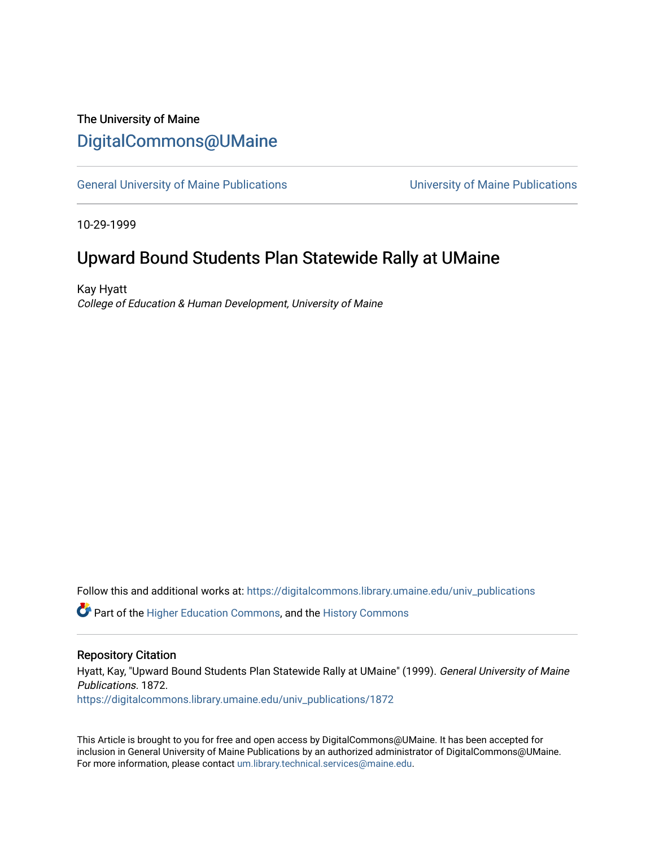# The University of Maine [DigitalCommons@UMaine](https://digitalcommons.library.umaine.edu/)

[General University of Maine Publications](https://digitalcommons.library.umaine.edu/univ_publications) [University of Maine Publications](https://digitalcommons.library.umaine.edu/umaine_publications) 

10-29-1999

## Upward Bound Students Plan Statewide Rally at UMaine

Kay Hyatt College of Education & Human Development, University of Maine

Follow this and additional works at: [https://digitalcommons.library.umaine.edu/univ\\_publications](https://digitalcommons.library.umaine.edu/univ_publications?utm_source=digitalcommons.library.umaine.edu%2Funiv_publications%2F1872&utm_medium=PDF&utm_campaign=PDFCoverPages) 

**C** Part of the [Higher Education Commons,](http://network.bepress.com/hgg/discipline/1245?utm_source=digitalcommons.library.umaine.edu%2Funiv_publications%2F1872&utm_medium=PDF&utm_campaign=PDFCoverPages) and the [History Commons](http://network.bepress.com/hgg/discipline/489?utm_source=digitalcommons.library.umaine.edu%2Funiv_publications%2F1872&utm_medium=PDF&utm_campaign=PDFCoverPages)

#### Repository Citation

Hyatt, Kay, "Upward Bound Students Plan Statewide Rally at UMaine" (1999). General University of Maine Publications. 1872.

[https://digitalcommons.library.umaine.edu/univ\\_publications/1872](https://digitalcommons.library.umaine.edu/univ_publications/1872?utm_source=digitalcommons.library.umaine.edu%2Funiv_publications%2F1872&utm_medium=PDF&utm_campaign=PDFCoverPages)

This Article is brought to you for free and open access by DigitalCommons@UMaine. It has been accepted for inclusion in General University of Maine Publications by an authorized administrator of DigitalCommons@UMaine. For more information, please contact [um.library.technical.services@maine.edu](mailto:um.library.technical.services@maine.edu).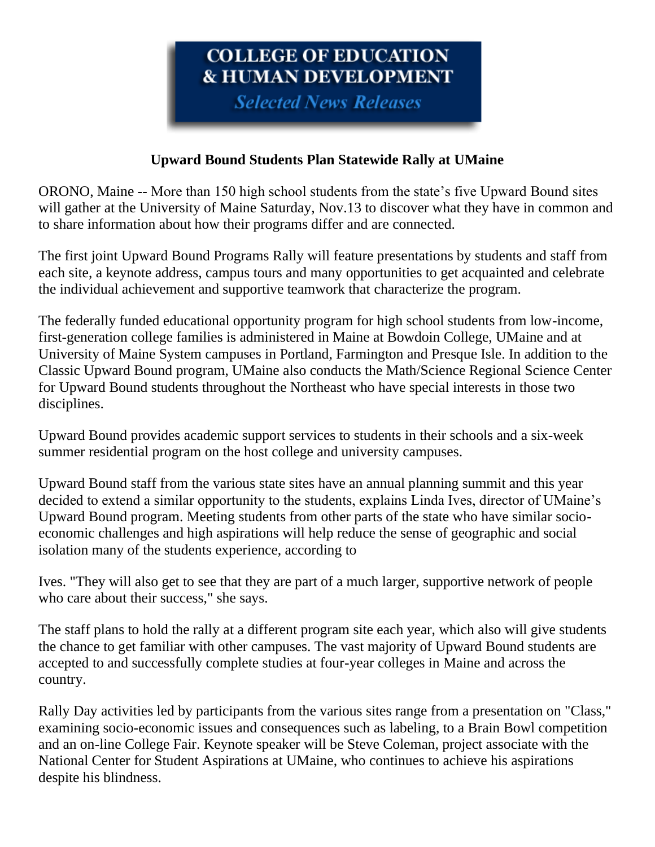# COLLEGE OF EDUCATION **& HUMAN DEVELOPMENT**

**Selected News Releases** 

### **Upward Bound Students Plan Statewide Rally at UMaine**

ORONO, Maine -- More than 150 high school students from the state's five Upward Bound sites will gather at the University of Maine Saturday, Nov.13 to discover what they have in common and to share information about how their programs differ and are connected.

The first joint Upward Bound Programs Rally will feature presentations by students and staff from each site, a keynote address, campus tours and many opportunities to get acquainted and celebrate the individual achievement and supportive teamwork that characterize the program.

The federally funded educational opportunity program for high school students from low-income, first-generation college families is administered in Maine at Bowdoin College, UMaine and at University of Maine System campuses in Portland, Farmington and Presque Isle. In addition to the Classic Upward Bound program, UMaine also conducts the Math/Science Regional Science Center for Upward Bound students throughout the Northeast who have special interests in those two disciplines.

Upward Bound provides academic support services to students in their schools and a six-week summer residential program on the host college and university campuses.

Upward Bound staff from the various state sites have an annual planning summit and this year decided to extend a similar opportunity to the students, explains Linda Ives, director of UMaine's Upward Bound program. Meeting students from other parts of the state who have similar socioeconomic challenges and high aspirations will help reduce the sense of geographic and social isolation many of the students experience, according to

Ives. "They will also get to see that they are part of a much larger, supportive network of people who care about their success," she says.

The staff plans to hold the rally at a different program site each year, which also will give students the chance to get familiar with other campuses. The vast majority of Upward Bound students are accepted to and successfully complete studies at four-year colleges in Maine and across the country.

Rally Day activities led by participants from the various sites range from a presentation on "Class," examining socio-economic issues and consequences such as labeling, to a Brain Bowl competition and an on-line College Fair. Keynote speaker will be Steve Coleman, project associate with the National Center for Student Aspirations at UMaine, who continues to achieve his aspirations despite his blindness.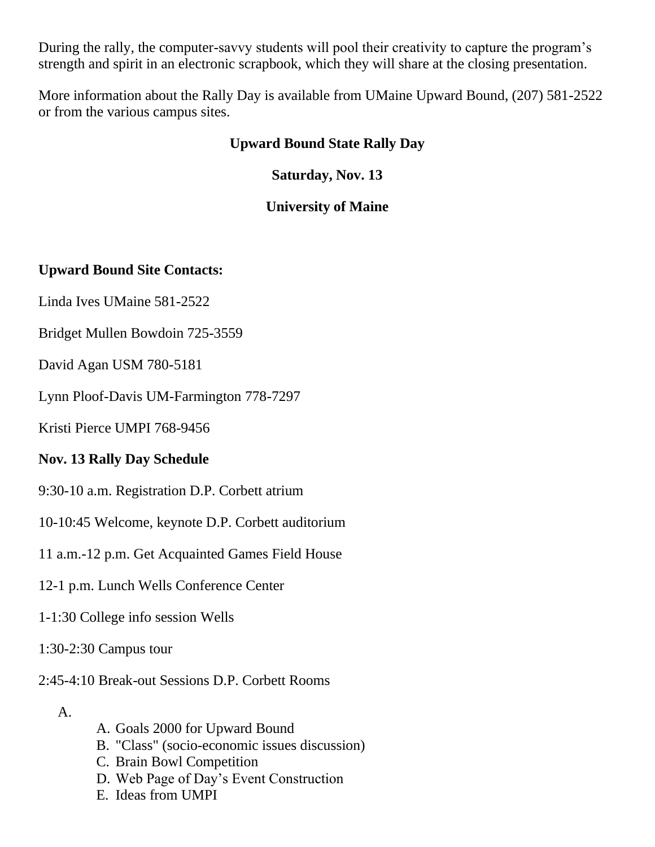During the rally, the computer-savvy students will pool their creativity to capture the program's strength and spirit in an electronic scrapbook, which they will share at the closing presentation.

More information about the Rally Day is available from UMaine Upward Bound, (207) 581-2522 or from the various campus sites.

#### **Upward Bound State Rally Day**

**Saturday, Nov. 13**

### **University of Maine**

### **Upward Bound Site Contacts:**

Linda Ives UMaine 581-2522

Bridget Mullen Bowdoin 725-3559

David Agan USM 780-5181

Lynn Ploof-Davis UM-Farmington 778-7297

Kristi Pierce UMPI 768-9456

### **Nov. 13 Rally Day Schedule**

9:30-10 a.m. Registration D.P. Corbett atrium

10-10:45 Welcome, keynote D.P. Corbett auditorium

11 a.m.-12 p.m. Get Acquainted Games Field House

12-1 p.m. Lunch Wells Conference Center

1-1:30 College info session Wells

1:30-2:30 Campus tour

2:45-4:10 Break-out Sessions D.P. Corbett Rooms

A.

- A. Goals 2000 for Upward Bound
- B. "Class" (socio-economic issues discussion)
- C. Brain Bowl Competition
- D. Web Page of Day's Event Construction
- E. Ideas from UMPI